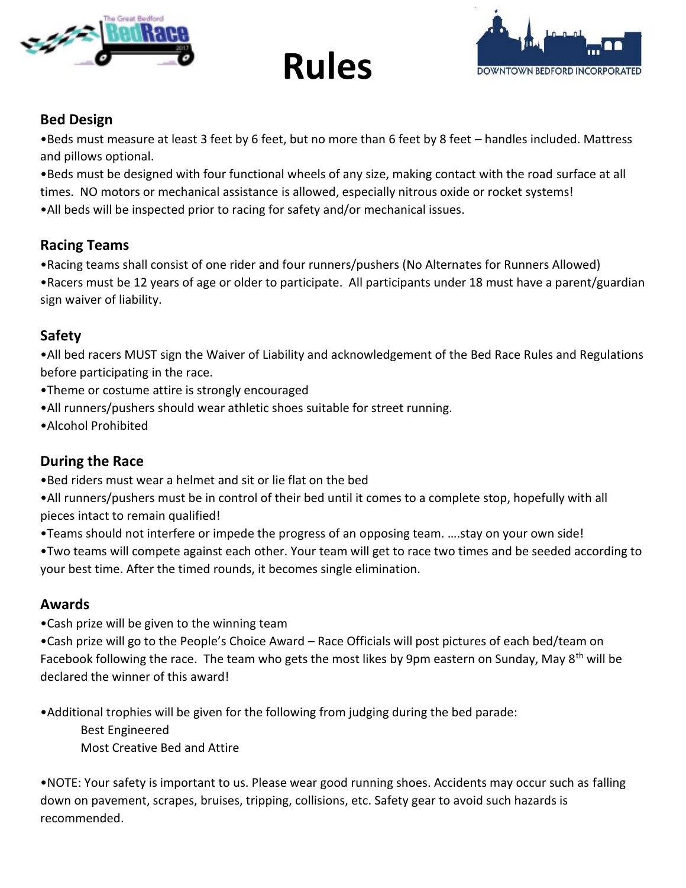



# **Bed Design**

•Beds must measure at least 3 feet by 6 feet, but no more than 6 feet by 8 feet – handles included. Mattress and pillows optional.

**Rules**

•Beds must be designed with four functional wheels of any size, making contact with the road surface at all times. NO motors or mechanical assistance is allowed, especially nitrous oxide or rocket systems! •All beds will be inspected prior to racing for safety and/or mechanical issues.

## **Racing Teams**

•Racing teams shall consist of one rider and four runners/pushers (No Alternates for Runners Allowed) •Racers must be 12 years of age or older to participate. All participants under 18 must have a parent/guardian sign waiver of liability.

## **Safety**

•All bed racers MUST sign the Waiver of Liability and acknowledgement of the Bed Race Rules and Regulations before participating in the race.

- •Theme or costume attire is strongly encouraged
- •All runners/pushers should wear athletic shoes suitable for street running.
- •Alcohol Prohibited

## **During the Race**

•Bed riders must wear a helmet and sit or lie flat on the bed

•All runners/pushers must be in control of their bed until it comes to a complete stop, hopefully with all pieces intact to remain qualified!

•Teams should not interfere or impede the progress of an opposing team. ….stay on your own side!

•Two teams will compete against each other. Your team will get to race two times and be seeded according to your best time. After the timed rounds, it becomes single elimination.

#### **Awards**

•Cash prize will be given to the winning team

•Cash prize will go to the People's Choice Award – Race Officials will post pictures of each bed/team on Facebook following the race. The team who gets the most likes by 9pm eastern on Sunday, May 8<sup>th</sup> will be declared the winner of this award!

•Additional trophies will be given for the following from judging during the bed parade:

Best Engineered

Most Creative Bed and Attire

•NOTE: Your safety is important to us. Please wear good running shoes. Accidents may occur such as falling down on pavement, scrapes, bruises, tripping, collisions, etc. Safety gear to avoid such hazards is recommended.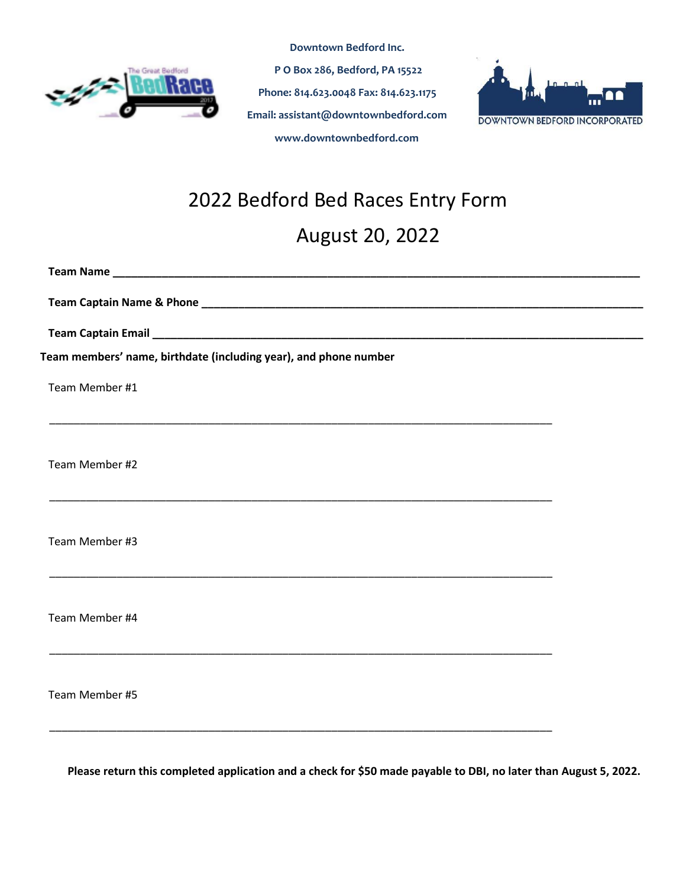

**P O Box 286, Bedford, PA 15522 Phone: 814.623.0048 Fax: 814.623.1175 Email: assistant@downtownbedford.com www.downtownbedford.com** 

**Downtown Bedford Inc.** 



# 2022 Bedford Bed Races Entry Form

\_\_\_\_\_\_\_\_\_\_\_\_\_\_\_\_\_\_\_\_\_\_\_\_\_\_\_\_\_\_\_\_\_\_\_\_\_\_\_\_\_\_\_\_\_\_\_\_\_\_\_\_\_\_\_\_\_\_\_\_\_\_\_\_\_\_\_\_\_\_\_\_\_\_\_\_\_\_\_\_\_\_

\_\_\_\_\_\_\_\_\_\_\_\_\_\_\_\_\_\_\_\_\_\_\_\_\_\_\_\_\_\_\_\_\_\_\_\_\_\_\_\_\_\_\_\_\_\_\_\_\_\_\_\_\_\_\_\_\_\_\_\_\_\_\_\_\_\_\_\_\_\_\_\_\_\_\_\_\_\_\_\_\_\_

\_\_\_\_\_\_\_\_\_\_\_\_\_\_\_\_\_\_\_\_\_\_\_\_\_\_\_\_\_\_\_\_\_\_\_\_\_\_\_\_\_\_\_\_\_\_\_\_\_\_\_\_\_\_\_\_\_\_\_\_\_\_\_\_\_\_\_\_\_\_\_\_\_\_\_\_\_\_\_\_\_\_

\_\_\_\_\_\_\_\_\_\_\_\_\_\_\_\_\_\_\_\_\_\_\_\_\_\_\_\_\_\_\_\_\_\_\_\_\_\_\_\_\_\_\_\_\_\_\_\_\_\_\_\_\_\_\_\_\_\_\_\_\_\_\_\_\_\_\_\_\_\_\_\_\_\_\_\_\_\_\_\_\_\_

\_\_\_\_\_\_\_\_\_\_\_\_\_\_\_\_\_\_\_\_\_\_\_\_\_\_\_\_\_\_\_\_\_\_\_\_\_\_\_\_\_\_\_\_\_\_\_\_\_\_\_\_\_\_\_\_\_\_\_\_\_\_\_\_\_\_\_\_\_\_\_\_\_\_\_\_\_\_\_\_\_\_

August 20, 2022

**Team Name \_\_\_\_\_\_\_\_\_\_\_\_\_\_\_\_\_\_\_\_\_\_\_\_\_\_\_\_\_\_\_\_\_\_\_\_\_\_\_\_\_\_\_\_\_\_\_\_\_\_\_\_\_\_\_\_\_\_\_\_\_\_\_\_\_\_\_\_\_\_\_\_\_\_\_\_\_\_\_\_\_\_\_\_\_\_**

**Team Captain Name & Phone \_\_\_\_\_\_\_\_\_\_\_\_\_\_\_\_\_\_\_\_\_\_\_\_\_\_\_\_\_\_\_\_\_\_\_\_\_\_\_\_\_\_\_\_\_\_\_\_\_\_\_\_\_\_\_\_\_\_\_\_\_\_\_\_\_\_\_\_\_\_\_\_**

**Team Captain Email \_\_\_\_\_\_\_\_\_\_\_\_\_\_\_\_\_\_\_\_\_\_\_\_\_\_\_\_\_\_\_\_\_\_\_\_\_\_\_\_\_\_\_\_\_\_\_\_\_\_\_\_\_\_\_\_\_\_\_\_\_\_\_\_\_\_\_\_\_\_\_\_\_\_\_\_\_\_\_\_**

**Team members' name, birthdate (including year), and phone number**

Team Member #1

Team Member #2

Team Member #3

Team Member #4

Team Member #5

**Please return this completed application and a check for \$50 made payable to DBI, no later than August 5, 2022.**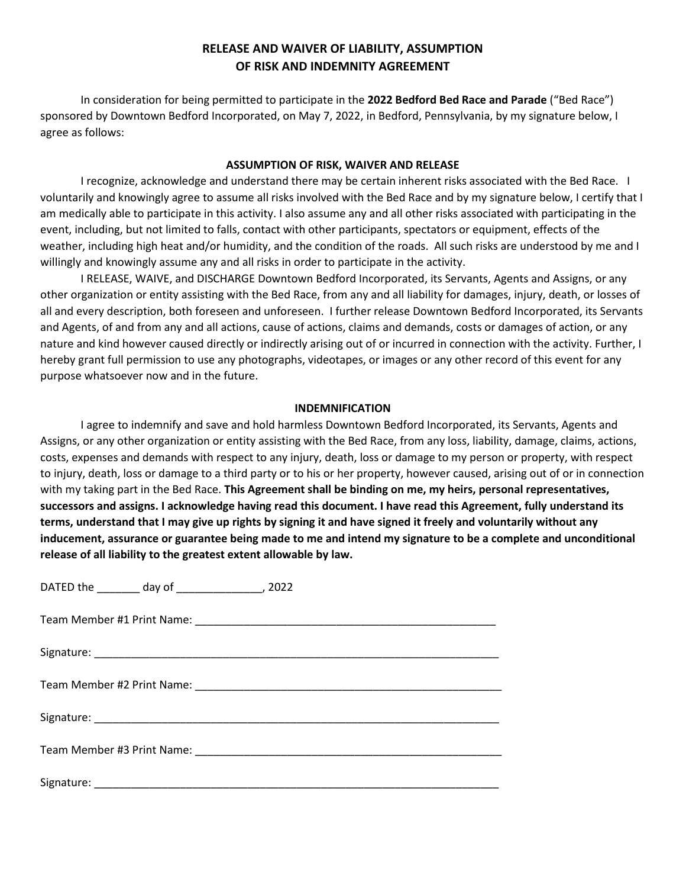#### **RELEASE AND WAIVER OF LIABILITY, ASSUMPTION OF RISK AND INDEMNITY AGREEMENT**

In consideration for being permitted to participate in the **2022 Bedford Bed Race and Parade** ("Bed Race") sponsored by Downtown Bedford Incorporated, on May 7, 2022, in Bedford, Pennsylvania, by my signature below, I agree as follows:

#### **ASSUMPTION OF RISK, WAIVER AND RELEASE**

I recognize, acknowledge and understand there may be certain inherent risks associated with the Bed Race. I voluntarily and knowingly agree to assume all risks involved with the Bed Race and by my signature below, I certify that I am medically able to participate in this activity. I also assume any and all other risks associated with participating in the event, including, but not limited to falls, contact with other participants, spectators or equipment, effects of the weather, including high heat and/or humidity, and the condition of the roads. All such risks are understood by me and I willingly and knowingly assume any and all risks in order to participate in the activity.

I RELEASE, WAIVE, and DISCHARGE Downtown Bedford Incorporated, its Servants, Agents and Assigns, or any other organization or entity assisting with the Bed Race, from any and all liability for damages, injury, death, or losses of all and every description, both foreseen and unforeseen. I further release Downtown Bedford Incorporated, its Servants and Agents, of and from any and all actions, cause of actions, claims and demands, costs or damages of action, or any nature and kind however caused directly or indirectly arising out of or incurred in connection with the activity. Further, I hereby grant full permission to use any photographs, videotapes, or images or any other record of this event for any purpose whatsoever now and in the future.

#### **INDEMNIFICATION**

I agree to indemnify and save and hold harmless Downtown Bedford Incorporated, its Servants, Agents and Assigns, or any other organization or entity assisting with the Bed Race, from any loss, liability, damage, claims, actions, costs, expenses and demands with respect to any injury, death, loss or damage to my person or property, with respect to injury, death, loss or damage to a third party or to his or her property, however caused, arising out of or in connection with my taking part in the Bed Race. **This Agreement shall be binding on me, my heirs, personal representatives, successors and assigns. I acknowledge having read this document. I have read this Agreement, fully understand its terms, understand that I may give up rights by signing it and have signed it freely and voluntarily without any inducement, assurance or guarantee being made to me and intend my signature to be a complete and unconditional release of all liability to the greatest extent allowable by law.**